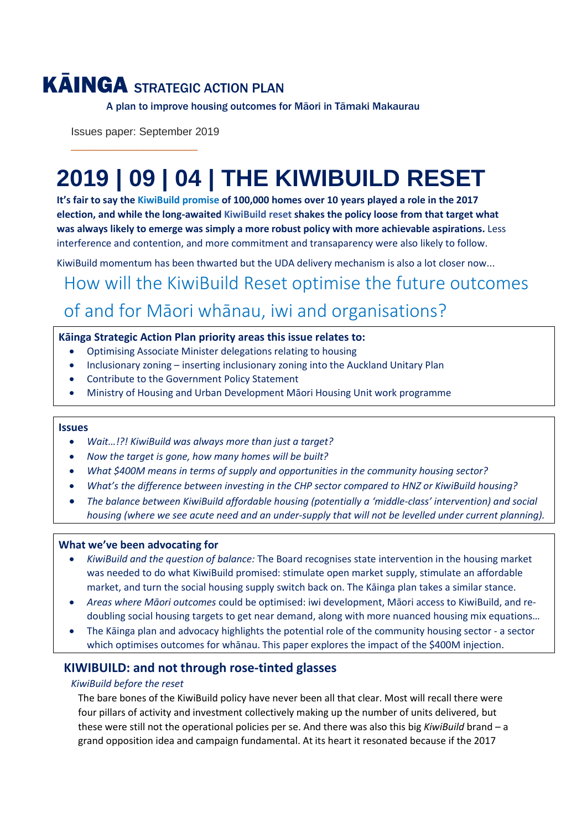## KĀINGA STRATEGIC ACTION PLAN

A plan to improve housing outcomes for Māori in Tāmaki Makaurau

Issues paper: September 2019

\_\_\_\_\_\_\_\_\_\_\_\_\_\_\_\_\_\_\_\_\_

# **2019 | 09 | 04 | THE KIWIBUILD RESET**

**It's fair to say the KiwiBuild promise of 100,000 homes over 10 years played a role in the 2017 election, and while the long-awaited KiwiBuild reset shakes the policy loose from that target what was always likely to emerge was simply a more robust policy with more achievable aspirations.** Less interference and contention, and more commitment and transaparency were also likely to follow.

KiwiBuild momentum has been thwarted but the UDA delivery mechanism is also a lot closer now...

How will the KiwiBuild Reset optimise the future outcomes of and for Māori whānau, iwi and organisations?

#### **Kāinga Strategic Action Plan priority areas this issue relates to:**

- Optimising Associate Minister delegations relating to housing
- Inclusionary zoning inserting inclusionary zoning into the Auckland Unitary Plan
- Contribute to the Government Policy Statement
- Ministry of Housing and Urban Development Māori Housing Unit work programme

#### **Issues**

- *Wait…!?! KiwiBuild was always more than just a target?*
- *Now the target is gone, how many homes will be built?*
- *What \$400M means in terms of supply and opportunities in the community housing sector?*
- *What's the difference between investing in the CHP sector compared to HNZ or KiwiBuild housing?*
- *The balance between KiwiBuild affordable housing (potentially a 'middle-class' intervention) and social housing (where we see acute need and an under-supply that will not be levelled under current planning).*

#### **What we've been advocating for**

- *KiwiBuild and the question of balance:* The Board recognises state intervention in the housing market was needed to do what KiwiBuild promised: stimulate open market supply, stimulate an affordable market, and turn the social housing supply switch back on. The Kāinga plan takes a similar stance.
- *Areas where Māori outcomes* could be optimised: iwi development, Māori access to KiwiBuild, and redoubling social housing targets to get near demand, along with more nuanced housing mix equations…
- The Kāinga plan and advocacy highlights the potential role of the community housing sector a sector which optimises outcomes for whānau. This paper explores the impact of the \$400M injection.

## **KIWIBUILD: and not through rose-tinted glasses**

#### *KiwiBuild before the reset*

The bare bones of the KiwiBuild policy have never been all that clear. Most will recall there were four pillars of activity and investment collectively making up the number of units delivered, but these were still not the operational policies per se. And there was also this big *KiwiBuild* brand – a grand opposition idea and campaign fundamental. At its heart it resonated because if the 2017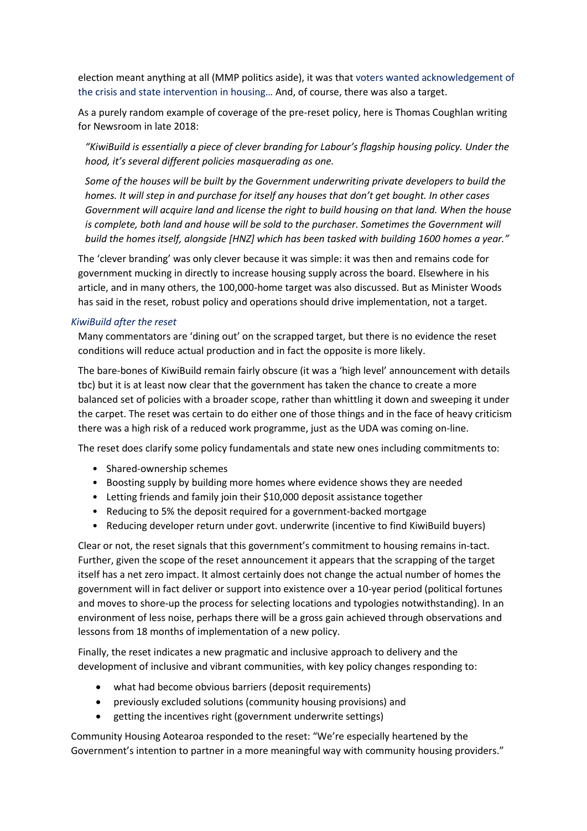election meant anything at all (MMP politics aside), it was that voters wanted acknowledgement of the crisis and state intervention in housing… And, of course, there was also a target.

As a purely random example of coverage of the pre-reset policy, here is Thomas Coughlan writing for Newsroom in late 2018:

*"KiwiBuild is essentially a piece of clever branding for Labour's flagship housing policy. Under the hood, it's several different policies masquerading as one.* 

*Some of the houses will be built by the Government underwriting private developers to build the homes. It will step in and purchase for itself any houses that don't get bought. In other cases Government will acquire land and license the right to build housing on that land. When the house is complete, both land and house will be sold to the purchaser. Sometimes the Government will build the homes itself, alongside [HNZ] which has been tasked with building 1600 homes a year."*

The 'clever branding' was only clever because it was simple: it was then and remains code for government mucking in directly to increase housing supply across the board. Elsewhere in his article, and in many others, the 100,000-home target was also discussed. But as Minister Woods has said in the reset, robust policy and operations should drive implementation, not a target.

#### *KiwiBuild after the reset*

Many commentators are 'dining out' on the scrapped target, but there is no evidence the reset conditions will reduce actual production and in fact the opposite is more likely.

The bare-bones of KiwiBuild remain fairly obscure (it was a 'high level' announcement with details tbc) but it is at least now clear that the government has taken the chance to create a more balanced set of policies with a broader scope, rather than whittling it down and sweeping it under the carpet. The reset was certain to do either one of those things and in the face of heavy criticism there was a high risk of a reduced work programme, just as the UDA was coming on-line.

The reset does clarify some policy fundamentals and state new ones including commitments to:

- Shared-ownership schemes
- Boosting supply by building more homes where evidence shows they are needed
- Letting friends and family join their \$10,000 deposit assistance together
- Reducing to 5% the deposit required for a government-backed mortgage
- Reducing developer return under govt. underwrite (incentive to find KiwiBuild buyers)

Clear or not, the reset signals that this government's commitment to housing remains in-tact. Further, given the scope of the reset announcement it appears that the scrapping of the target itself has a net zero impact. It almost certainly does not change the actual number of homes the government will in fact deliver or support into existence over a 10-year period (political fortunes and moves to shore-up the process for selecting locations and typologies notwithstanding). In an environment of less noise, perhaps there will be a gross gain achieved through observations and lessons from 18 months of implementation of a new policy.

Finally, the reset indicates a new pragmatic and inclusive approach to delivery and the development of inclusive and vibrant communities, with key policy changes responding to:

- what had become obvious barriers (deposit requirements)
- previously excluded solutions (community housing provisions) and
- getting the incentives right (government underwrite settings)

Community Housing Aotearoa responded to the reset: "We're especially heartened by the Government's intention to partner in a more meaningful way with community housing providers."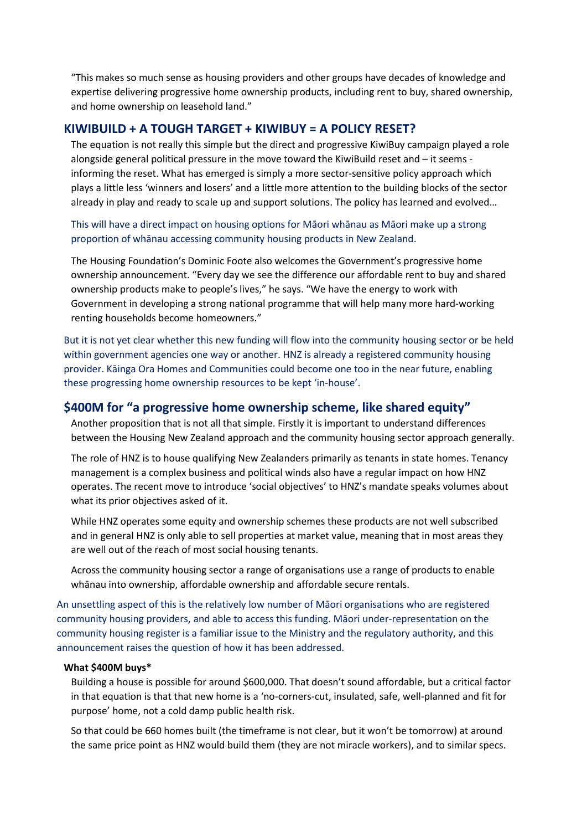"This makes so much sense as housing providers and other groups have decades of knowledge and expertise delivering progressive home ownership products, including rent to buy, shared ownership, and home ownership on leasehold land."

#### **KIWIBUILD + A TOUGH TARGET + KIWIBUY = A POLICY RESET?**

The equation is not really this simple but the direct and progressive KiwiBuy campaign played a role alongside general political pressure in the move toward the KiwiBuild reset and – it seems informing the reset. What has emerged is simply a more sector-sensitive policy approach which plays a little less 'winners and losers' and a little more attention to the building blocks of the sector already in play and ready to scale up and support solutions. The policy has learned and evolved…

This will have a direct impact on housing options for Māori whānau as Māori make up a strong proportion of whānau accessing community housing products in New Zealand.

The Housing Foundation's Dominic Foote also welcomes the Government's progressive home ownership announcement. "Every day we see the difference our affordable rent to buy and shared ownership products make to people's lives," he says. "We have the energy to work with Government in developing a strong national programme that will help many more hard-working renting households become homeowners."

But it is not yet clear whether this new funding will flow into the community housing sector or be held within government agencies one way or another. HNZ is already a registered community housing provider. Kāinga Ora Homes and Communities could become one too in the near future, enabling these progressing home ownership resources to be kept 'in-house'.

### **\$400M for "a progressive home ownership scheme, like shared equity"**

Another proposition that is not all that simple. Firstly it is important to understand differences between the Housing New Zealand approach and the community housing sector approach generally.

The role of HNZ is to house qualifying New Zealanders primarily as tenants in state homes. Tenancy management is a complex business and political winds also have a regular impact on how HNZ operates. The recent move to introduce 'social objectives' to HNZ's mandate speaks volumes about what its prior objectives asked of it.

While HNZ operates some equity and ownership schemes these products are not well subscribed and in general HNZ is only able to sell properties at market value, meaning that in most areas they are well out of the reach of most social housing tenants.

Across the community housing sector a range of organisations use a range of products to enable whānau into ownership, affordable ownership and affordable secure rentals.

An unsettling aspect of this is the relatively low number of Māori organisations who are registered community housing providers, and able to access this funding. Māori under-representation on the community housing register is a familiar issue to the Ministry and the regulatory authority, and this announcement raises the question of how it has been addressed.

#### **What \$400M buys\***

Building a house is possible for around \$600,000. That doesn't sound affordable, but a critical factor in that equation is that that new home is a 'no-corners-cut, insulated, safe, well-planned and fit for purpose' home, not a cold damp public health risk.

So that could be 660 homes built (the timeframe is not clear, but it won't be tomorrow) at around the same price point as HNZ would build them (they are not miracle workers), and to similar specs.